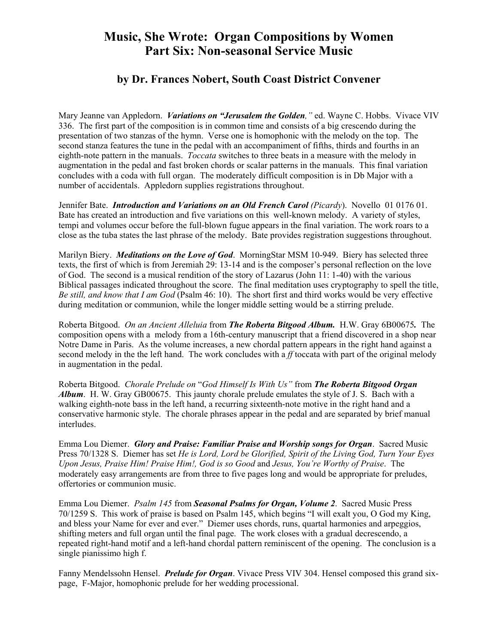## **Music, She Wrote: Organ Compositions by Women Part Six: Non-seasonal Service Music**

## **by Dr. Frances Nobert, South Coast District Convener**

Mary Jeanne van Appledorn. *Variations on "Jerusalem the Golden,"* ed. Wayne C. Hobbs. Vivace VIV 336. The first part of the composition is in common time and consists of a big crescendo during the presentation of two stanzas of the hymn. Verse one is homophonic with the melody on the top. The second stanza features the tune in the pedal with an accompaniment of fifths, thirds and fourths in an eighth-note pattern in the manuals. *Toccata* switches to three beats in a measure with the melody in augmentation in the pedal and fast broken chords or scalar patterns in the manuals. This final variation concludes with a coda with full organ. The moderately difficult composition is in Db Major with a number of accidentals. Appledorn supplies registrations throughout.

Jennifer Bate. *Introduction and Variations on an Old French Carol (Picardy*). Novello 01 0176 01. Bate has created an introduction and five variations on this well-known melody. A variety of styles, tempi and volumes occur before the full-blown fugue appears in the final variation. The work roars to a close as the tuba states the last phrase of the melody. Bate provides registration suggestions throughout.

Marilyn Biery. *Meditations on the Love of God*. MorningStar MSM 10-949. Biery has selected three texts, the first of which is from Jeremiah 29: 13-14 and is the composer's personal reflection on the love of God. The second is a musical rendition of the story of Lazarus (John 11: 1-40) with the various Biblical passages indicated throughout the score. The final meditation uses cryptography to spell the title, *Be still, and know that I am God* (Psalm 46: 10). The short first and third works would be very effective during meditation or communion, while the longer middle setting would be a stirring prelude.

Roberta Bitgood. *On an Ancient Alleluia* from *The Roberta Bitgood Album.* H.W. Gray 6B00675*.* The composition opens with a melody from a 16th-century manuscript that a friend discovered in a shop near Notre Dame in Paris. As the volume increases, a new chordal pattern appears in the right hand against a second melody in the the left hand. The work concludes with a *ff* toccata with part of the original melody in augmentation in the pedal.

Roberta Bitgood. *Chorale Prelude on* "*God Himself Is With Us"* from *The Roberta Bitgood Organ Album*. H. W. Gray GB00675. This jaunty chorale prelude emulates the style of J. S. Bach with a walking eighth-note bass in the left hand, a recurring sixteenth-note motive in the right hand and a conservative harmonic style. The chorale phrases appear in the pedal and are separated by brief manual interludes.

Emma Lou Diemer. *Glory and Praise: Familiar Praise and Worship songs for Organ*. Sacred Music Press 70/1328 S. Diemer has set *He is Lord, Lord be Glorified, Spirit of the Living God, Turn Your Eyes Upon Jesus, Praise Him! Praise Him!, God is so Good* and *Jesus, You're Worthy of Praise*. The moderately easy arrangements are from three to five pages long and would be appropriate for preludes, offertories or communion music.

Emma Lou Diemer. *Psalm 145* from *Seasonal Psalms for Organ, Volume 2*. Sacred Music Press 70/1259 S. This work of praise is based on Psalm 145, which begins "I will exalt you, O God my King, and bless your Name for ever and ever." Diemer uses chords, runs, quartal harmonies and arpeggios, shifting meters and full organ until the final page. The work closes with a gradual decrescendo, a repeated right-hand motif and a left-hand chordal pattern reminiscent of the opening. The conclusion is a single pianissimo high f.

Fanny Mendelssohn Hensel. *Prelude for Organ*. Vivace Press VIV 304. Hensel composed this grand sixpage, F-Major, homophonic prelude for her wedding processional.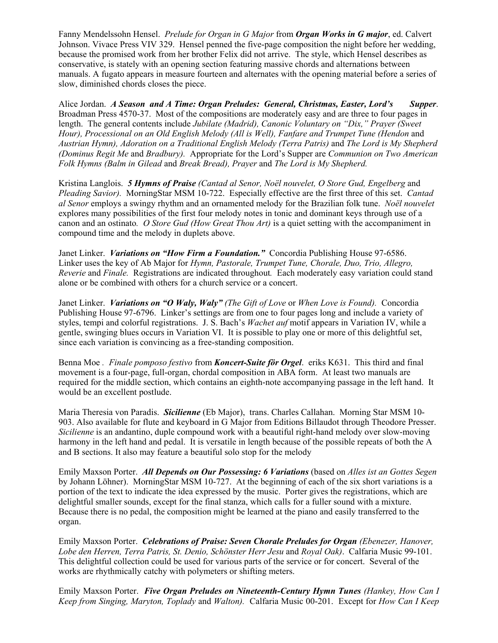Fanny Mendelssohn Hensel. *Prelude for Organ in G Major* from *Organ Works in G major*, ed. Calvert Johnson. Vivace Press VIV 329. Hensel penned the five-page composition the night before her wedding, because the promised work from her brother Felix did not arrive. The style, which Hensel describes as conservative, is stately with an opening section featuring massive chords and alternations between manuals. A fugato appears in measure fourteen and alternates with the opening material before a series of slow, diminished chords closes the piece.

Alice Jordan. *A Season and A Time: Organ Preludes: General, Christmas, Easter, Lord's Supper*. Broadman Press 4570-37. Most of the compositions are moderately easy and are three to four pages in length. The general contents include *Jubilate (Madrid), Canonic Voluntary on "Dix," Prayer (Sweet*  Hour), Processional on an Old English Melody (All is Well), Fanfare and Trumpet Tune (Hendon and *Austrian Hymn), Adoration on a Traditional English Melody (Terra Patris)* and *The Lord is My Shepherd (Dominus Regit Me* and *Bradbury).* Appropriate for the Lord's Supper are *Communion on Two American Folk Hymns (Balm in Gilead* and *Break Bread), Prayer* and *The Lord is My Shepherd.* 

Kristina Langlois. *5 Hymns of Praise (Cantad al Senor, Noël nouvelet, O Store Gud, Engelberg* and *Pleading Savior).* MorningStar MSM 10-722. Especially effective are the first three of this set. *Cantad al Senor* employs a swingy rhythm and an ornamented melody for the Brazilian folk tune. *Noël nouvelet* explores many possibilities of the first four melody notes in tonic and dominant keys through use of a canon and an ostinato*. O Store Gud (How Great Thou Art)* is a quiet setting with the accompaniment in compound time and the melody in duplets above.

Janet Linker. *Variations on "How Firm a Foundation."* Concordia Publishing House 97-6586. Linker uses the key of Ab Major for *Hymn, Pastorale, Trumpet Tune, Chorale, Duo, Trio, Allegro, Reverie* and *Finale.* Registrations are indicated throughout*.* Each moderately easy variation could stand alone or be combined with others for a church service or a concert.

Janet Linker. *Variations on "O Waly, Waly" (The Gift of Love* or *When Love is Found).* Concordia Publishing House 97-6796. Linker's settings are from one to four pages long and include a variety of styles, tempi and colorful registrations. J. S. Bach's *Wachet auf* motif appears in Variation IV, while a gentle, swinging blues occurs in Variation VI. It is possible to play one or more of this delightful set, since each variation is convincing as a free-standing composition.

Benna Moe *. Finale pomposo festivo* from *Koncert-Suite för Orgel*. eriks K631. This third and final movement is a four-page, full-organ, chordal composition in ABA form. At least two manuals are required for the middle section, which contains an eighth-note accompanying passage in the left hand. It would be an excellent postlude.

Maria Theresia von Paradis. *Sicilienne* (Eb Major), trans. Charles Callahan. Morning Star MSM 10- 903. Also available for flute and keyboard in G Major from Editions Billaudot through Theodore Presser. *Sicilienne* is an andantino, duple compound work with a beautiful right-hand melody over slow-moving harmony in the left hand and pedal. It is versatile in length because of the possible repeats of both the A and B sections. It also may feature a beautiful solo stop for the melody

Emily Maxson Porter. *All Depends on Our Possessing: 6 Variations* (based on *Alles ist an Gottes Segen* by Johann Löhner). MorningStar MSM 10-727. At the beginning of each of the six short variations is a portion of the text to indicate the idea expressed by the music. Porter gives the registrations, which are delightful smaller sounds, except for the final stanza, which calls for a fuller sound with a mixture. Because there is no pedal, the composition might be learned at the piano and easily transferred to the organ.

Emily Maxson Porter. *Celebrations of Praise: Seven Chorale Preludes for Organ (Ebenezer, Hanover, Lobe den Herren, Terra Patris, St. Denio, Schönster Herr Jesu* and *Royal Oak)*. Calfaria Music 99-101. This delightful collection could be used for various parts of the service or for concert. Several of the works are rhythmically catchy with polymeters or shifting meters.

Emily Maxson Porter. *Five Organ Preludes on Nineteenth-Century Hymn Tunes (Hankey, How Can I Keep from Singing, Maryton, Toplady* and *Walton).* Calfaria Music 00-201. Except for *How Can I Keep*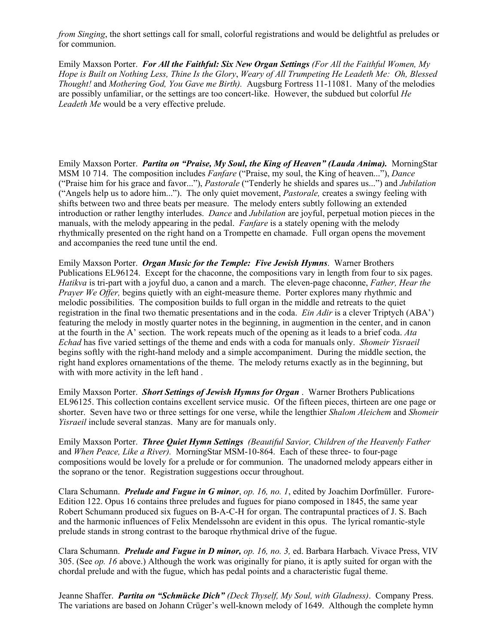*from Singing*, the short settings call for small, colorful registrations and would be delightful as preludes or for communion.

Emily Maxson Porter. *For All the Faithful: Six New Organ Settings (For All the Faithful Women, My Hope is Built on Nothing Less, Thine Is the Glory*, *Weary of All Trumpeting He Leadeth Me: Oh, Blessed Thought!* and *Mothering God, You Gave me Birth).* Augsburg Fortress 11-11081. Many of the melodies are possibly unfamiliar, or the settings are too concert-like. However, the subdued but colorful *He Leadeth Me* would be a very effective prelude.

Emily Maxson Porter. *Partita on "Praise, My Soul, the King of Heaven" (Lauda Anima).* MorningStar MSM 10 714. The composition includes *Fanfare* ("Praise, my soul, the King of heaven..."), *Dance* ("Praise him for his grace and favor..."), *Pastorale* ("Tenderly he shields and spares us...") and *Jubilation* ("Angels help us to adore him..."). The only quiet movement, *Pastorale,* creates a swingy feeling with shifts between two and three beats per measure. The melody enters subtly following an extended introduction or rather lengthy interludes. *Dance* and *Jubilation* are joyful, perpetual motion pieces in the manuals, with the melody appearing in the pedal. *Fanfare* is a stately opening with the melody rhythmically presented on the right hand on a Trompette en chamade. Full organ opens the movement and accompanies the reed tune until the end.

Emily Maxson Porter. *Organ Music for the Temple: Five Jewish Hymns*. Warner Brothers Publications EL96124. Except for the chaconne, the compositions vary in length from four to six pages. *Hatikva* is tri-part with a joyful duo, a canon and a march. The eleven-page chaconne, *Father, Hear the Prayer We Offer,* begins quietly with an eight-measure theme. Porter explores many rhythmic and melodic possibilities. The composition builds to full organ in the middle and retreats to the quiet registration in the final two thematic presentations and in the coda. *Ein Adir* is a clever Triptych (ABA') featuring the melody in mostly quarter notes in the beginning, in augmention in the center, and in canon at the fourth in the A' section. The work repeats much of the opening as it leads to a brief coda. *Ata Echad* has five varied settings of the theme and ends with a coda for manuals only. *Shomeir Yisraeil* begins softly with the right-hand melody and a simple accompaniment. During the middle section, the right hand explores ornamentations of the theme. The melody returns exactly as in the beginning, but with with more activity in the left hand .

Emily Maxson Porter. *Short Settings of Jewish Hymns for Organ* . Warner Brothers Publications EL96125. This collection contains excellent service music. Of the fifteen pieces, thirteen are one page or shorter. Seven have two or three settings for one verse, while the lengthier *Shalom Aleichem* and *Shomeir Yisraeil* include several stanzas. Many are for manuals only.

Emily Maxson Porter. *Three Quiet Hymn Settings (Beautiful Savior, Children of the Heavenly Father* and *When Peace, Like a River).* MorningStar MSM-10-864. Each of these three- to four-page compositions would be lovely for a prelude or for communion. The unadorned melody appears either in the soprano or the tenor. Registration suggestions occur throughout.

Clara Schumann.*Prelude and Fugue in G minor*, *op. 16, no. 1*, edited by Joachim Dorfmüller. Furore-Edition 122. Opus 16 contains three preludes and fugues for piano composed in 1845, the same year Robert Schumann produced six fugues on B-A-C-H for organ. The contrapuntal practices of J. S. Bach and the harmonic influences of Felix Mendelssohn are evident in this opus. The lyrical romantic-style prelude stands in strong contrast to the baroque rhythmical drive of the fugue.

Clara Schumann. *Prelude and Fugue in D minor, op. 16, no. 3,* ed. Barbara Harbach. Vivace Press, VIV 305. (See *op. 16* above.) Although the work was originally for piano, it is aptly suited for organ with the chordal prelude and with the fugue, which has pedal points and a characteristic fugal theme.

Jeanne Shaffer. *Partita on "Schmücke Dich" (Deck Thyself, My Soul, with Gladness)*. Company Press. The variations are based on Johann Crüger's well-known melody of 1649. Although the complete hymn